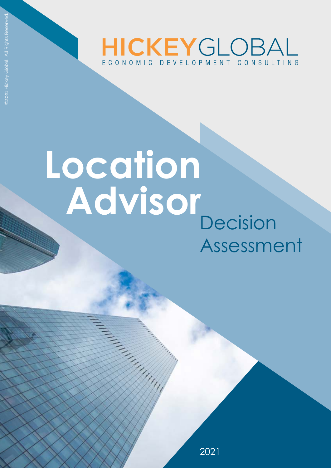

# **Decision** Assessment **Location Advisor**

2021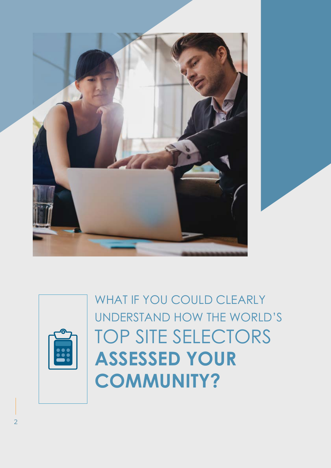

WHAT IF YOU COULD CLEARLY UNDERSTAND HOW THE WORLD'S TOP SITE SELECTORS **ASSESSED YOUR COMMUNITY?**

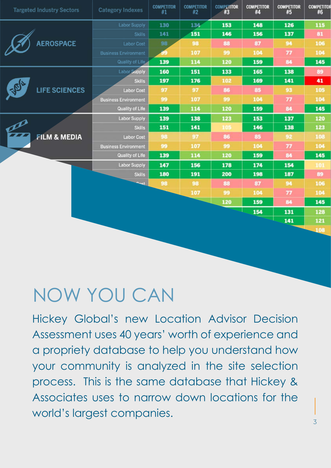| <b>Targeted Industry Sectors</b> | <b>Category Indexes</b>     | <b>COMPETITOR</b><br>#1 | <b>COMPETITOR</b><br>#2 | <b>COMPETITOR</b><br>#3 | <b>COMPETITOR</b><br>#4 | <b>COMPETITOR</b><br>#5 | <b>COMPETITOR</b><br>#6 |
|----------------------------------|-----------------------------|-------------------------|-------------------------|-------------------------|-------------------------|-------------------------|-------------------------|
|                                  | <b>Labor Supply</b>         | 130                     | 134                     | 153                     | 148                     | 126                     | 115                     |
| <b>AEROSPACE</b>                 | Skills                      | 141                     | 151                     | 146                     | 156                     | 137                     | 81                      |
|                                  | Labor Cost                  | 98                      | 98                      | 88                      | 87                      | 94                      | 106                     |
|                                  | <b>Business Environment</b> | 49                      | 107                     | 99                      | 104                     | 77                      | 104                     |
|                                  | Quality of Life             | 139                     | 114                     | 120                     | 159                     | 84                      | 145                     |
| <b>LIFE SCIENCES</b>             | Labor Supply                | 160                     | 151                     | 133                     | 165                     | 138                     | 89                      |
|                                  | <b>Skills</b>               | 197                     | 176                     | 102                     | 169                     | 141                     | 41                      |
|                                  | <b>Labor Cost</b>           | 97                      | 97                      | 86                      | 85                      | 93                      | 105                     |
|                                  | <b>Business Environment</b> | 99                      | 107                     | 99                      | 104                     | 77                      | 104                     |
|                                  | <b>Quality of Life</b>      | 139                     | 114                     | 120                     | 159                     | 84                      | 145                     |
| po                               | <b>Labor Supply</b>         | 139                     | 138                     | 123                     | 153                     | 137                     | 120                     |
|                                  | <b>Skills</b>               | 151                     | 141                     | 105                     | 146                     | 138                     | 123                     |
| <b>FILM &amp; MEDIA</b>          | <b>Labor Cost</b>           | 98                      | 97                      | 86                      | 85                      | 92                      | 108                     |
|                                  | <b>Business Environment</b> | 99                      | 107                     | 99                      | 104                     | 77                      | 104                     |
|                                  | Quality of Life             | 139                     | 114                     | 120                     | 159                     | 84                      | 145                     |
|                                  | <b>Labor Supply</b>         | 147                     | 156                     | 178                     | 174                     | 154                     | 101                     |
|                                  | <b>Skills</b>               | 180                     | 191                     | 200                     | 198                     | 187                     | 89                      |
|                                  | n <sub>net</sub>            | 98                      | 98                      | 88                      | 87                      | 94                      | 106                     |
|                                  |                             |                         | 107                     | 99                      | 104                     | 77                      | 104                     |
|                                  |                             |                         |                         | 120                     | 159                     | 84                      | 145                     |
|                                  |                             |                         |                         |                         | 154                     | 131                     | 128                     |
|                                  |                             |                         |                         |                         |                         | 141                     | 121                     |
|                                  |                             |                         |                         |                         |                         |                         | 108                     |
|                                  |                             |                         |                         |                         |                         |                         |                         |

## NOW YOU CAN

Hickey Global's new Location Advisor Decision Assessment uses 40 years' worth of experience and a propriety database to help you understand how your community is analyzed in the site selection process. This is the same database that Hickey & Associates uses to narrow down locations for the world's largest companies.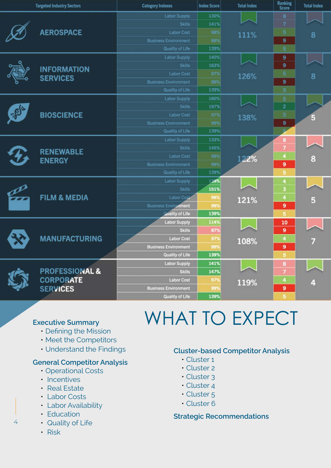|                                   | <b>Targeted Industry Sectors</b>                                 | <b>Category Indexes</b>     | <b>Index Score</b> | <b>Total Index</b> | <b>Ranking</b><br><b>Score</b> | <b>Total Index</b> |
|-----------------------------------|------------------------------------------------------------------|-----------------------------|--------------------|--------------------|--------------------------------|--------------------|
| <b>AEROSPACE</b>                  |                                                                  | <b>Labor Supply</b>         | 130%               |                    | 8                              |                    |
|                                   |                                                                  | <b>Skills</b>               | 141%               |                    | 7                              |                    |
|                                   |                                                                  | <b>Labor Cost</b>           | 98%                | 111%               | 5                              | 8                  |
|                                   |                                                                  | <b>Business Environment</b> | 99%                |                    | 9                              |                    |
|                                   |                                                                  | <b>Quality of Life</b>      | 139%               |                    |                                |                    |
|                                   | <b>INFORMATION</b><br><b>SERVICES</b>                            | <b>Labor Supply</b>         | 140%               |                    | 9                              |                    |
|                                   |                                                                  | <b>Skills</b>               | 163%               |                    | 9                              |                    |
|                                   |                                                                  | <b>Labor Cost</b>           | 97%                | 126%               | 5                              | 8                  |
|                                   |                                                                  | <b>Business Environment</b> | 99%                |                    | 9                              |                    |
|                                   |                                                                  | <b>Quality of Life</b>      | 139%               |                    | $\overline{5}$                 |                    |
|                                   |                                                                  | <b>Labor Supply</b>         | 160%               |                    | 5                              |                    |
|                                   |                                                                  | <b>Skills</b>               | 197%               |                    | $\overline{2}$                 |                    |
|                                   | <b>BIOSCIENCE</b>                                                | <b>Labor Cost</b>           | 97%                | 138%               | 5                              |                    |
|                                   |                                                                  | <b>Business Environment</b> | 99%                |                    | 9                              |                    |
|                                   |                                                                  | <b>Quality of Life</b>      | 139%               |                    |                                |                    |
| <b>RENEWABLE</b><br><b>ENERGY</b> |                                                                  | <b>Labor Supply</b>         | 133%               |                    | 8                              |                    |
|                                   |                                                                  | <b>Skills</b>               | 145%               |                    | 7                              |                    |
|                                   |                                                                  | <b>Labor Cost</b>           | 98%                | 122%               | $\overline{4}$                 | 8                  |
|                                   |                                                                  | <b>Business Environment</b> | 99%                |                    | 9                              |                    |
|                                   |                                                                  | <b>Quality of Life</b>      | 139%               |                    | 5                              |                    |
|                                   | <b>FILM &amp; MEDIA</b>                                          | <b>Labor Supply</b>         | 139%               |                    | 4                              |                    |
|                                   |                                                                  | <b>Skills</b>               | 151%               |                    | 3                              |                    |
|                                   |                                                                  | <b>Labor Cost</b>           | 98%                | 121%               | $\ddot{4}$                     | G                  |
|                                   |                                                                  | <b>Business Environment</b> | 99%                |                    | $\mathbf{9}$                   |                    |
|                                   |                                                                  | Quality of Life             | 139%               |                    | 5                              |                    |
|                                   |                                                                  | <b>Labor Supply</b>         | 114%               |                    | 10                             |                    |
|                                   |                                                                  | <b>Skills</b>               | 87%                |                    | 9                              |                    |
|                                   | <b>MANUFACTURING</b>                                             | <b>Labor Cost</b>           | 97%                | 108%               | 4                              |                    |
|                                   |                                                                  | <b>Business Environment</b> | 99%                |                    | $\overline{9}$                 |                    |
|                                   |                                                                  | <b>Quality of Life</b>      | 139%               |                    | 5                              |                    |
|                                   | <b>PROFESSIONAL &amp;</b><br><b>CORPORATE</b><br><b>SERVICES</b> | <b>Labor Supply</b>         | 141%               |                    | 8                              |                    |
|                                   |                                                                  | <b>Skills</b>               | 147%               |                    | $\overline{1}$                 |                    |
|                                   |                                                                  | <b>Labor Cost</b>           | 97%                | 119%               | $\ddot{a}$                     |                    |
|                                   |                                                                  | <b>Business Environment</b> | 99                 |                    | $\mathbf{9}$                   |                    |
|                                   |                                                                  | <b>Quality of Life</b>      | 139%               |                    | 5                              |                    |

### **Executive Summary**

- Defining the Mission
- Meet the Competitors
- Understand the Findings

#### **General Competitor Analysis**

- Operational Costs
- Incentives
- Real Estate
- Labor Costs
- Labor Availability
- Education
- Quality of Life

# WHAT TO EXPECT

### **Cluster-based Competitor Analysis**

- Cluster 1
- Cluster 2
- Cluster 3
- Cluster 4
- Cluster 5
- Cluster 6

### **Strategic Recommendations**

• Risk

4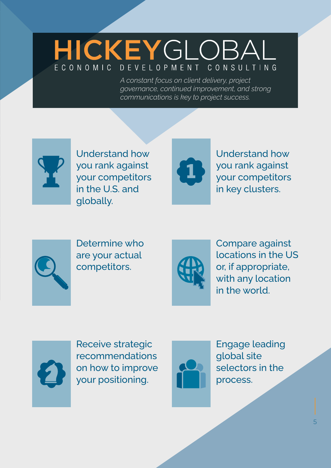### HICKEYGLOBAI FCONOMIC DEVELOPMENT CONSULTING

*A constant focus on client delivery, project governance, continued improvement, and strong communications is key to project success.*



Understand how you rank against your competitors in the U.S. and globally.



Understand how you rank against your competitors in key clusters.



Determine who are your actual competitors.



Compare against locations in the US or, if appropriate, with any location in the world.



Receive strategic recommendations on how to improve your positioning.



Engage leading global site selectors in the process.